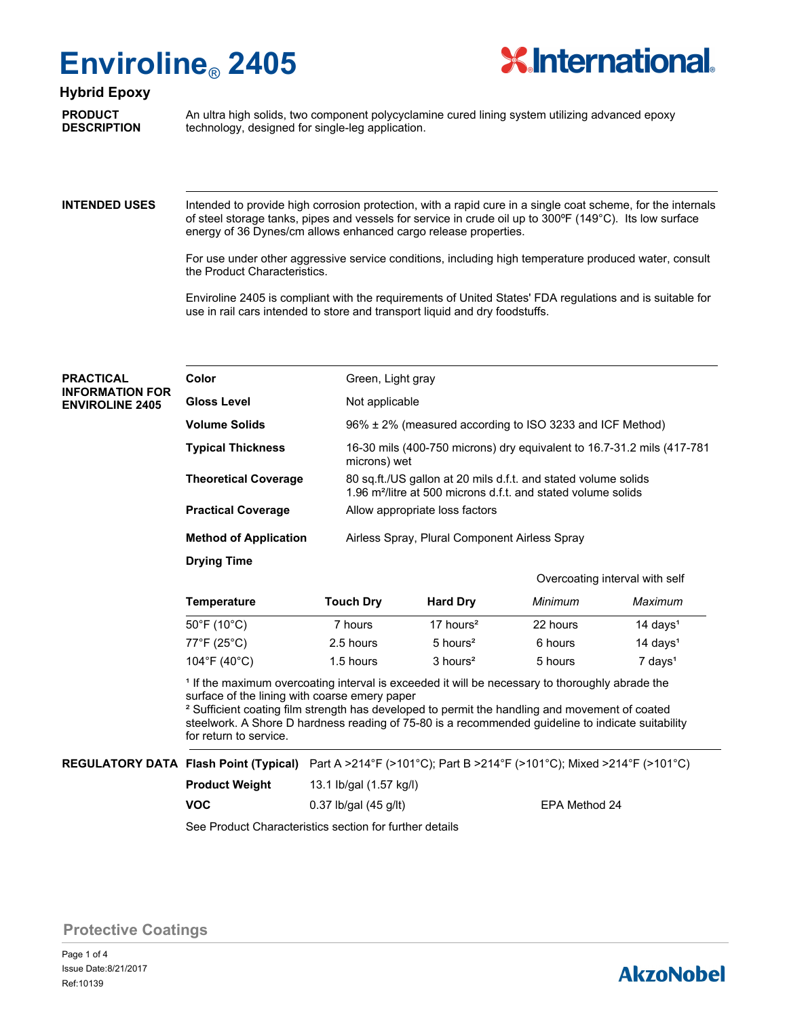

## **Hybrid Epoxy**

**PRODUCT DESCRIPTION** An ultra high solids, two component polycyclamine cured lining system utilizing advanced epoxy technology, designed for single-leg application.

#### Intended to provide high corrosion protection, with a rapid cure in a single coat scheme, for the internals of steel storage tanks, pipes and vessels for service in crude oil up to 300ºF (149°C). Its low surface energy of 36 Dynes/cm allows enhanced cargo release properties. **INTENDED USES**

For use under other aggressive service conditions, including high temperature produced water, consult the Product Characteristics.

Enviroline 2405 is compliant with the requirements of United States' FDA regulations and is suitable for use in rail cars intended to store and transport liquid and dry foodstuffs.

### **PRACTICAL INFORMATION FOR ENVIROLINE 2405**

| Color                        | Green, Light gray                                                                                                                           |
|------------------------------|---------------------------------------------------------------------------------------------------------------------------------------------|
| <b>Gloss Level</b>           | Not applicable                                                                                                                              |
| <b>Volume Solids</b>         | 96% ± 2% (measured according to ISO 3233 and ICF Method)                                                                                    |
| <b>Typical Thickness</b>     | 16-30 mils (400-750 microns) dry equivalent to 16.7-31.2 mils (417-781<br>microns) wet                                                      |
| <b>Theoretical Coverage</b>  | 80 sq.ft./US gallon at 20 mils d.f.t. and stated volume solids<br>1.96 m <sup>2</sup> /litre at 500 microns d.f.t. and stated volume solids |
| <b>Practical Coverage</b>    | Allow appropriate loss factors                                                                                                              |
| <b>Method of Application</b> | Airless Spray, Plural Component Airless Spray                                                                                               |
| <b>Drying Time</b>           |                                                                                                                                             |

|                                   |                  |                       | Overcoating interval with self |                                   |  |
|-----------------------------------|------------------|-----------------------|--------------------------------|-----------------------------------|--|
| Temperature                       | <b>Touch Dry</b> | <b>Hard Dry</b>       | Minimum                        | Maximum                           |  |
| 50°F (10°C)                       | 7 hours          | 17 hours <sup>2</sup> | 22 hours                       | 14 days <sup><math>1</math></sup> |  |
| 77°F (25°C)                       | 2.5 hours        | 5 hours <sup>2</sup>  | 6 hours                        | 14 days <sup><math>1</math></sup> |  |
| $104^{\circ}$ F (40 $^{\circ}$ C) | 1.5 hours        | 3 hours <sup>2</sup>  | 5 hours                        | $7$ days <sup>1</sup>             |  |

<sup>1</sup> If the maximum overcoating interval is exceeded it will be necessary to thoroughly abrade the surface of the lining with coarse emery paper

² Sufficient coating film strength has developed to permit the handling and movement of coated steelwork. A Shore D hardness reading of 75-80 is a recommended guideline to indicate suitability for return to service.

### REGULATORY DATA Flash Point (Typical) Part A >214°F (>101°C); Part B >214°F (>101°C); Mixed >214°F (>101°C)

| <b>Product Weight</b> | 13.1 lb/gal (1.57 kg/l) |               |
|-----------------------|-------------------------|---------------|
| <b>VOC</b>            | $0.37$ lb/gal (45 g/lt) | EPA Method 24 |

See Product Characteristics section for further details

**Protective Coatings**

Page 1 of 4 Ref:10139 Issue Date:8/21/2017

# **AkzoNobel**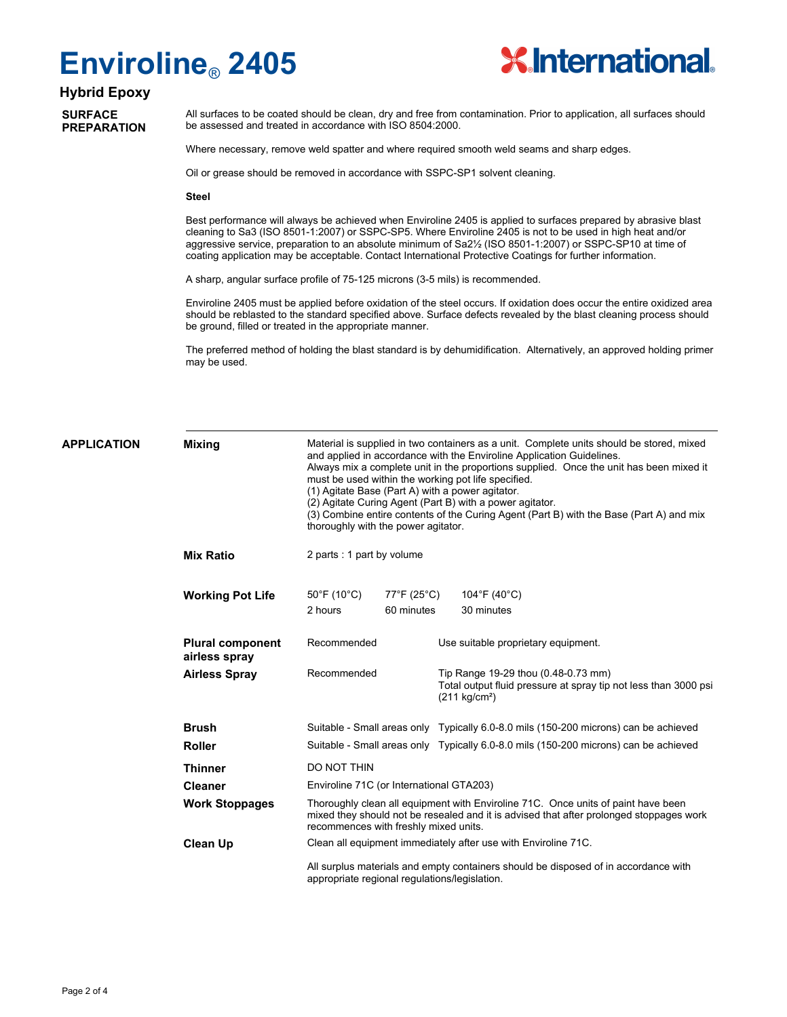

# **Hybrid Epoxy**

**SURFACE PREPARATION** All surfaces to be coated should be clean, dry and free from contamination. Prior to application, all surfaces should be assessed and treated in accordance with ISO 8504:2000.

Where necessary, remove weld spatter and where required smooth weld seams and sharp edges.

Oil or grease should be removed in accordance with SSPC-SP1 solvent cleaning.

#### **Steel**

Best performance will always be achieved when Enviroline 2405 is applied to surfaces prepared by abrasive blast cleaning to Sa3 (ISO 8501-1:2007) or SSPC-SP5. Where Enviroline 2405 is not to be used in high heat and/or aggressive service, preparation to an absolute minimum of Sa2½ (ISO 8501-1:2007) or SSPC-SP10 at time of coating application may be acceptable. Contact International Protective Coatings for further information.

A sharp, angular surface profile of 75-125 microns (3-5 mils) is recommended.

Enviroline 2405 must be applied before oxidation of the steel occurs. If oxidation does occur the entire oxidized area should be reblasted to the standard specified above. Surface defects revealed by the blast cleaning process should be ground, filled or treated in the appropriate manner.

The preferred method of holding the blast standard is by dehumidification. Alternatively, an approved holding primer may be used.

| <b>APPLICATION</b> | <b>Mixing</b>                            | Material is supplied in two containers as a unit. Complete units should be stored, mixed<br>and applied in accordance with the Enviroline Application Guidelines.<br>Always mix a complete unit in the proportions supplied. Once the unit has been mixed it<br>must be used within the working pot life specified.<br>(1) Agitate Base (Part A) with a power agitator.<br>(2) Agitate Curing Agent (Part B) with a power agitator.<br>(3) Combine entire contents of the Curing Agent (Part B) with the Base (Part A) and mix<br>thoroughly with the power agitator.<br>2 parts : 1 part by volume |             |                                                                                      |                                                                                                                                   |  |
|--------------------|------------------------------------------|-----------------------------------------------------------------------------------------------------------------------------------------------------------------------------------------------------------------------------------------------------------------------------------------------------------------------------------------------------------------------------------------------------------------------------------------------------------------------------------------------------------------------------------------------------------------------------------------------------|-------------|--------------------------------------------------------------------------------------|-----------------------------------------------------------------------------------------------------------------------------------|--|
|                    | <b>Mix Ratio</b>                         |                                                                                                                                                                                                                                                                                                                                                                                                                                                                                                                                                                                                     |             |                                                                                      |                                                                                                                                   |  |
|                    | <b>Working Pot Life</b>                  | $50^{\circ}$ F (10 $^{\circ}$ C)                                                                                                                                                                                                                                                                                                                                                                                                                                                                                                                                                                    | 77°F (25°C) |                                                                                      | 104°F (40°C)                                                                                                                      |  |
|                    |                                          | 2 hours                                                                                                                                                                                                                                                                                                                                                                                                                                                                                                                                                                                             | 60 minutes  |                                                                                      | 30 minutes                                                                                                                        |  |
|                    | <b>Plural component</b><br>airless spray | Recommended                                                                                                                                                                                                                                                                                                                                                                                                                                                                                                                                                                                         |             | Use suitable proprietary equipment.                                                  |                                                                                                                                   |  |
|                    | <b>Airless Spray</b>                     | Recommended                                                                                                                                                                                                                                                                                                                                                                                                                                                                                                                                                                                         |             |                                                                                      | Tip Range 19-29 thou (0.48-0.73 mm)<br>Total output fluid pressure at spray tip not less than 3000 psi<br>$(211 \text{ kg/cm}^2)$ |  |
|                    | <b>Brush</b>                             |                                                                                                                                                                                                                                                                                                                                                                                                                                                                                                                                                                                                     |             |                                                                                      | Suitable - Small areas only Typically 6.0-8.0 mils (150-200 microns) can be achieved                                              |  |
|                    | <b>Roller</b>                            |                                                                                                                                                                                                                                                                                                                                                                                                                                                                                                                                                                                                     |             | Suitable - Small areas only Typically 6.0-8.0 mils (150-200 microns) can be achieved |                                                                                                                                   |  |
|                    | <b>Thinner</b>                           | DO NOT THIN                                                                                                                                                                                                                                                                                                                                                                                                                                                                                                                                                                                         |             |                                                                                      |                                                                                                                                   |  |
|                    | <b>Cleaner</b>                           | Enviroline 71C (or International GTA203)                                                                                                                                                                                                                                                                                                                                                                                                                                                                                                                                                            |             |                                                                                      |                                                                                                                                   |  |
|                    | <b>Work Stoppages</b>                    | Thoroughly clean all equipment with Enviroline 71C. Once units of paint have been<br>mixed they should not be resealed and it is advised that after prolonged stoppages work<br>recommences with freshly mixed units.                                                                                                                                                                                                                                                                                                                                                                               |             |                                                                                      |                                                                                                                                   |  |
|                    | <b>Clean Up</b>                          | Clean all equipment immediately after use with Enviroline 71C.                                                                                                                                                                                                                                                                                                                                                                                                                                                                                                                                      |             |                                                                                      |                                                                                                                                   |  |
|                    |                                          | All surplus materials and empty containers should be disposed of in accordance with<br>appropriate regional regulations/legislation.                                                                                                                                                                                                                                                                                                                                                                                                                                                                |             |                                                                                      |                                                                                                                                   |  |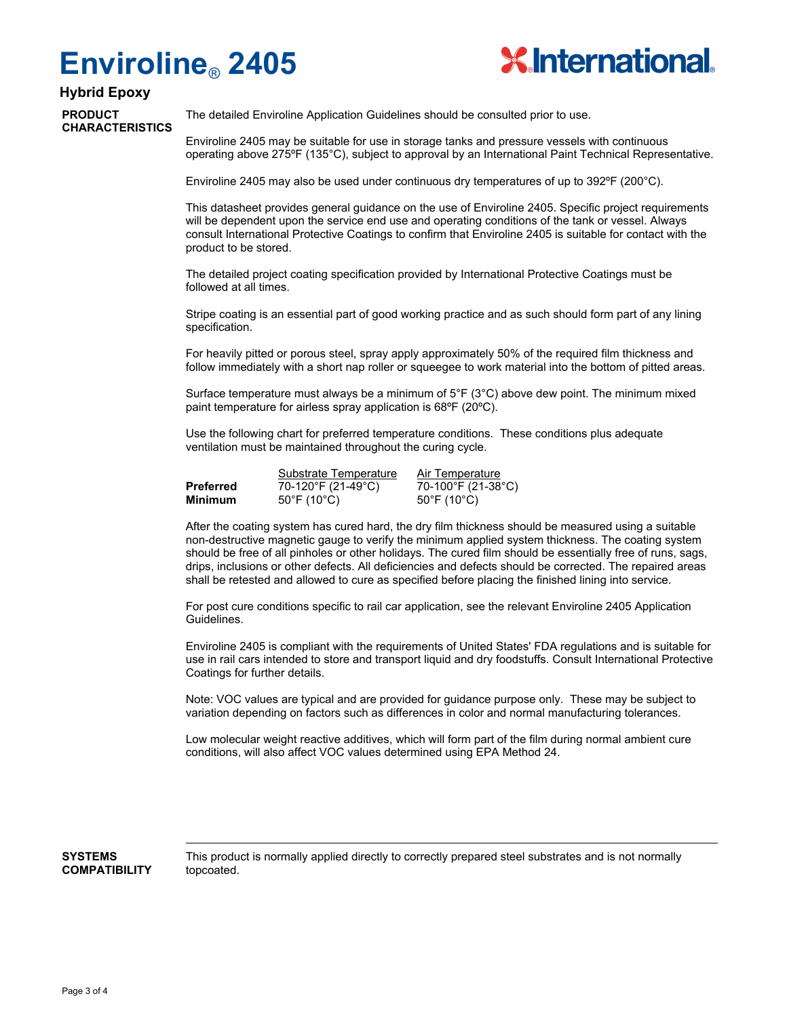

## **Hybrid Epoxy**

**PRODUCT CHARACTERISTICS**

The detailed Enviroline Application Guidelines should be consulted prior to use.

Enviroline 2405 may be suitable for use in storage tanks and pressure vessels with continuous operating above 275ºF (135°C), subject to approval by an International Paint Technical Representative.

Enviroline 2405 may also be used under continuous dry temperatures of up to 392ºF (200°C).

This datasheet provides general guidance on the use of Enviroline 2405. Specific project requirements will be dependent upon the service end use and operating conditions of the tank or vessel. Always consult International Protective Coatings to confirm that Enviroline 2405 is suitable for contact with the product to be stored.

The detailed project coating specification provided by International Protective Coatings must be followed at all times.

Stripe coating is an essential part of good working practice and as such should form part of any lining specification.

For heavily pitted or porous steel, spray apply approximately 50% of the required film thickness and follow immediately with a short nap roller or squeegee to work material into the bottom of pitted areas.

Surface temperature must always be a minimum of 5°F (3°C) above dew point. The minimum mixed paint temperature for airless spray application is 68ºF (20ºC).

Use the following chart for preferred temperature conditions. These conditions plus adequate ventilation must be maintained throughout the curing cycle.

|           | Substrate Temperature            | Air Temperature                  |
|-----------|----------------------------------|----------------------------------|
| Preferred | 70-120°F (21-49°C)               | 70-100°F (21-38°C)               |
| Minimum   | $50^{\circ}$ F (10 $^{\circ}$ C) | $50^{\circ}$ F (10 $^{\circ}$ C) |

After the coating system has cured hard, the dry film thickness should be measured using a suitable non-destructive magnetic gauge to verify the minimum applied system thickness. The coating system should be free of all pinholes or other holidays. The cured film should be essentially free of runs, sags, drips, inclusions or other defects. All deficiencies and defects should be corrected. The repaired areas shall be retested and allowed to cure as specified before placing the finished lining into service.

For post cure conditions specific to rail car application, see the relevant Enviroline 2405 Application Guidelines.

Enviroline 2405 is compliant with the requirements of United States' FDA regulations and is suitable for use in rail cars intended to store and transport liquid and dry foodstuffs. Consult International Protective Coatings for further details.

Note: VOC values are typical and are provided for guidance purpose only. These may be subject to variation depending on factors such as differences in color and normal manufacturing tolerances.

Low molecular weight reactive additives, which will form part of the film during normal ambient cure conditions, will also affect VOC values determined using EPA Method 24.

**SYSTEMS COMPATIBILITY** This product is normally applied directly to correctly prepared steel substrates and is not normally topcoated.